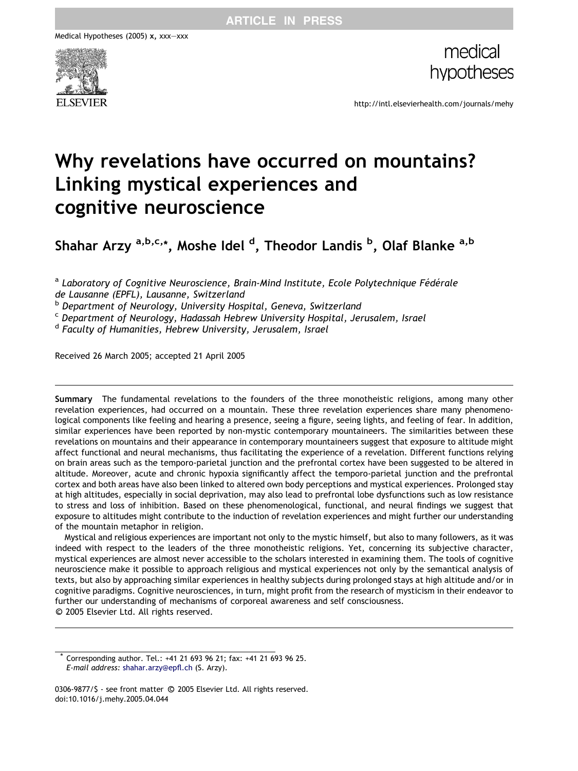ARTICLE IN PRESS

Medical Hypotheses (2005) x, xxx–xxx





http://intl.elsevierhealth.com/journals/mehy

# Why revelations have occurred on mountains? Linking mystical experiences and cognitive neuroscience

Shahar Arzy <sup>a,b,c,</sup>\*, Moshe Idel <sup>d</sup>, Theodor Landis <sup>b</sup>, Olaf Blanke <sup>a,b</sup>

<sup>a</sup> Laboratory of Cognitive Neuroscience, Brain-Mind Institute, Ecole Polytechnique Fédérale de Lausanne (EPFL), Lausanne, Switzerland

**b** Department of Neurology, University Hospital, Geneva, Switzerland

<sup>c</sup> Department of Neurology, Hadassah Hebrew University Hospital, Jerusalem, Israel

<sup>d</sup> Faculty of Humanities, Hebrew University, Jerusalem, Israel

Received 26 March 2005; accepted 21 April 2005

Summary The fundamental revelations to the founders of the three monotheistic religions, among many other revelation experiences, had occurred on a mountain. These three revelation experiences share many phenomenological components like feeling and hearing a presence, seeing a figure, seeing lights, and feeling of fear. In addition, similar experiences have been reported by non-mystic contemporary mountaineers. The similarities between these revelations on mountains and their appearance in contemporary mountaineers suggest that exposure to altitude might affect functional and neural mechanisms, thus facilitating the experience of a revelation. Different functions relying on brain areas such as the temporo-parietal junction and the prefrontal cortex have been suggested to be altered in altitude. Moreover, acute and chronic hypoxia significantly affect the temporo-parietal junction and the prefrontal cortex and both areas have also been linked to altered own body perceptions and mystical experiences. Prolonged stay at high altitudes, especially in social deprivation, may also lead to prefrontal lobe dysfunctions such as low resistance to stress and loss of inhibition. Based on these phenomenological, functional, and neural findings we suggest that exposure to altitudes might contribute to the induction of revelation experiences and might further our understanding of the mountain metaphor in religion.

Mystical and religious experiences are important not only to the mystic himself, but also to many followers, as it was indeed with respect to the leaders of the three monotheistic religions. Yet, concerning its subjective character, mystical experiences are almost never accessible to the scholars interested in examining them. The tools of cognitive neuroscience make it possible to approach religious and mystical experiences not only by the semantical analysis of texts, but also by approaching similar experiences in healthy subjects during prolonged stays at high altitude and/or in cognitive paradigms. Cognitive neurosciences, in turn, might profit from the research of mysticism in their endeavor to further our understanding of mechanisms of corporeal awareness and self consciousness. <sup>c</sup> 2005 Elsevier Ltd. All rights reserved.

\* Corresponding author. Tel.: +41 21 693 96 21; fax: +41 21 693 96 25. E-mail address: [shahar.arzy@epfl.ch](mailto:shahar.arzy@epfl.ch) (S. Arzy).

0306-9877/\$ - see front matter © 2005 Elsevier Ltd. All rights reserved. doi:10.1016/j.mehy.2005.04.044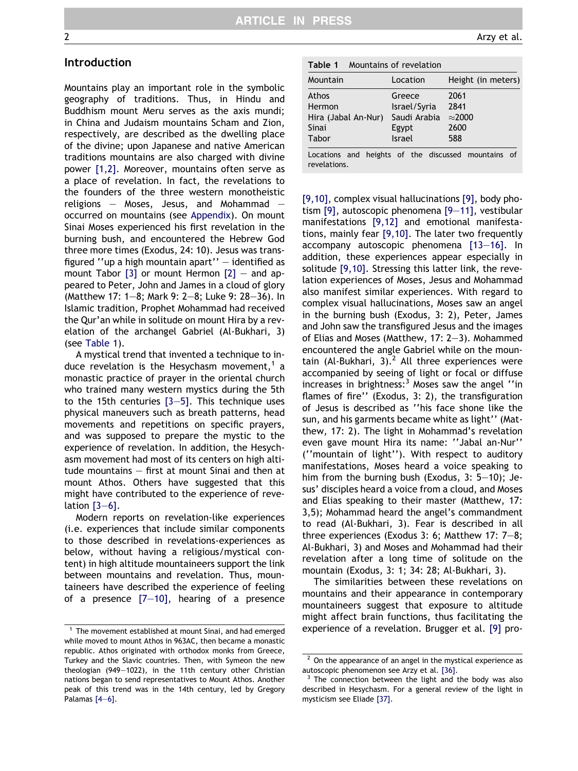# Introduction

Mountains play an important role in the symbolic geography of traditions. Thus, in Hindu and Buddhism mount Meru serves as the axis mundi; in China and Judaism mountains Scham and Zion, respectively, are described as the dwelling place of the divine; upon Japanese and native American traditions mountains are also charged with divine power [\[1,2\].](#page-3-0) Moreover, mountains often serve as a place of revelation. In fact, the revelations to the founders of the three western monotheistic religions – Moses, Jesus, and Mohammad – occurred on mountains (see Appendix). On mount Sinai Moses experienced his first revelation in the burning bush, and encountered the Hebrew God three more times (Exodus, 24: 10). Jesus was transfigured "up a high mountain apart"  $-$  identified as mount Tabor [\[3\]](#page-3-0) or mount Hermon  $[2]$  – and appeared to Peter, John and James in a cloud of glory (Matthew 17: 1–8; Mark 9: 2–8; Luke 9: 28–36). In Islamic tradition, Prophet Mohammad had received the Qur'an while in solitude on mount Hira by a revelation of the archangel Gabriel (Al-Bukhari, 3) (see Table 1).

A mystical trend that invented a technique to induce revelation is the Hesychasm movement,<sup>1</sup> a monastic practice of prayer in the oriental church who trained many western mystics during the 5th to the 15th centuries [\[3–5\].](#page-3-0) This technique uses physical maneuvers such as breath patterns, head movements and repetitions on specific prayers, and was supposed to prepare the mystic to the experience of revelation. In addition, the Hesychasm movement had most of its centers on high altitude mountains – first at mount Sinai and then at mount Athos. Others have suggested that this might have contributed to the experience of revelation [\[3–6\]](#page-3-0).

Modern reports on revelation-like experiences (i.e. experiences that include similar components to those described in revelations-experiences as below, without having a religious/mystical content) in high altitude mountaineers support the link between mountains and revelation. Thus, mountaineers have described the experience of feeling of a presence  $[7-10]$ , hearing of a presence

| Mountains of revelation<br>Table 1                  |               |                    |
|-----------------------------------------------------|---------------|--------------------|
| Mountain                                            | Location      | Height (in meters) |
| Athos                                               | Greece        | 2061               |
| Hermon                                              | Israel/Syria  | 2841               |
| Hira (Jabal An-Nur)                                 | Saudi Arabia  | $\approx$ 2000     |
| Sinai                                               | Egypt         | 2600               |
| Tabor                                               | <b>Israel</b> | 588                |
| Locations and boights of the discussed mountains of |               |                    |

Locations and heights of the discussed mountains of revelations.

[\[9,10\],](#page-3-0) complex visual hallucinations [\[9\],](#page-3-0) body photism [\[9\]](#page-3-0), autoscopic phenomena [\[9–11\],](#page-3-0) vestibular manifestations [\[9,12\]](#page-3-0) and emotional manifestations, mainly fear [\[9,10\].](#page-3-0) The later two frequently accompany autoscopic phenomena [\[13–16\]](#page-3-0). In addition, these experiences appear especially in solitude [\[9,10\].](#page-3-0) Stressing this latter link, the revelation experiences of Moses, Jesus and Mohammad also manifest similar experiences. With regard to complex visual hallucinations, Moses saw an angel in the burning bush (Exodus, 3: 2), Peter, James and John saw the transfigured Jesus and the images of Elias and Moses (Matthew, 17: 2–3). Mohammed encountered the angle Gabriel while on the mountain (Al-Bukhari,  $3$ ).<sup>2</sup> All three experiences were accompanied by seeing of light or focal or diffuse increases in brightness:<sup>3</sup> Moses saw the angel "in flames of fire'' (Exodus, 3: 2), the transfiguration of Jesus is described as ''his face shone like the sun, and his garments became white as light'' (Matthew, 17: 2). The light in Mohammad's revelation even gave mount Hira its name: ''Jabal an-Nur'' (''mountain of light''). With respect to auditory manifestations, Moses heard a voice speaking to him from the burning bush (Exodus, 3: 5–10); Jesus' disciples heard a voice from a cloud, and Moses and Elias speaking to their master (Matthew, 17: 3,5); Mohammad heard the angel's commandment to read (Al-Bukhari, 3). Fear is described in all three experiences (Exodus 3: 6; Matthew 17: 7–8; Al-Bukhari, 3) and Moses and Mohammad had their revelation after a long time of solitude on the mountain (Exodus, 3: 1; 34: 28; Al-Bukhari, 3).

The similarities between these revelations on mountains and their appearance in contemporary mountaineers suggest that exposure to altitude might affect brain functions, thus facilitating the experience of a revelation. Brugger et al. [\[9\]](#page-3-0) pro-

<sup>&</sup>lt;sup>1</sup> The movement established at mount Sinai, and had emerged while moved to mount Athos in 963AC, then became a monastic republic. Athos originated with orthodox monks from Greece, Turkey and the Slavic countries. Then, with Symeon the new theologian (949–1022), in the 11th century other Christian nations began to send representatives to Mount Athos. Another peak of this trend was in the 14th century, led by Gregory Palamas [\[4–6\].](#page-3-0)

 $2$  On the appearance of an angel in the mystical experience as autoscopic phenomenon see Arzy et al. [\[36\]](#page-4-0).<br><sup>3</sup> The connection between the light and the body was also

described in Hesychasm. For a general review of the light in mysticism see Eliade [\[37\]](#page-4-0).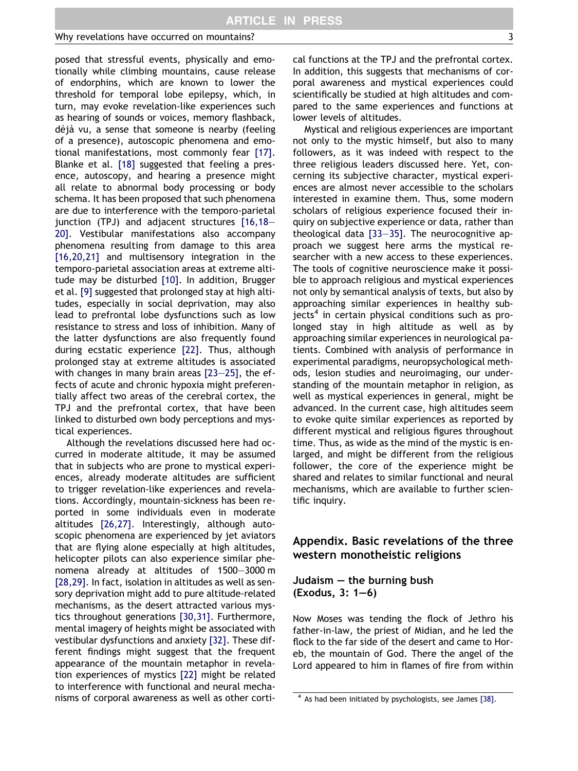#### Why revelations have occurred on mountains? 3

posed that stressful events, physically and emotionally while climbing mountains, cause release of endorphins, which are known to lower the threshold for temporal lobe epilepsy, which, in turn, may evoke revelation-like experiences such as hearing of sounds or voices, memory flashback, déjà vu, a sense that someone is nearby (feeling of a presence), autoscopic phenomena and emotional manifestations, most commonly fear [\[17\]](#page-3-0). Blanke et al. [\[18\]](#page-3-0) suggested that feeling a presence, autoscopy, and hearing a presence might all relate to abnormal body processing or body schema. It has been proposed that such phenomena are due to interference with the temporo-parietal junction (TPJ) and adjacent structures [\[16,18–](#page-3-0) [20\].](#page-3-0) Vestibular manifestations also accompany phenomena resulting from damage to this area [\[16,20,21\]](#page-3-0) and multisensory integration in the temporo-parietal association areas at extreme altitude may be disturbed [\[10\]](#page-3-0). In addition, Brugger et al. [\[9\]](#page-3-0) suggested that prolonged stay at high altitudes, especially in social deprivation, may also lead to prefrontal lobe dysfunctions such as low resistance to stress and loss of inhibition. Many of the latter dysfunctions are also frequently found during ecstatic experience [\[22\]](#page-4-0). Thus, although prolonged stay at extreme altitudes is associated with changes in many brain areas [\[23–25\],](#page-4-0) the effects of acute and chronic hypoxia might preferentially affect two areas of the cerebral cortex, the TPJ and the prefrontal cortex, that have been linked to disturbed own body perceptions and mystical experiences.

Although the revelations discussed here had occurred in moderate altitude, it may be assumed that in subjects who are prone to mystical experiences, already moderate altitudes are sufficient to trigger revelation-like experiences and revelations. Accordingly, mountain-sickness has been reported in some individuals even in moderate altitudes [\[26,27\]](#page-4-0). Interestingly, although autoscopic phenomena are experienced by jet aviators that are flying alone especially at high altitudes, helicopter pilots can also experience similar phenomena already at altitudes of 1500–3000 m [\[28,29\]](#page-4-0). In fact, isolation in altitudes as well as sensory deprivation might add to pure altitude-related mechanisms, as the desert attracted various mystics throughout generations [\[30,31\].](#page-4-0) Furthermore, mental imagery of heights might be associated with vestibular dysfunctions and anxiety [\[32\]](#page-4-0). These different findings might suggest that the frequent appearance of the mountain metaphor in revelation experiences of mystics [\[22\]](#page-4-0) might be related to interference with functional and neural mechanisms of corporal awareness as well as other cortical functions at the TPJ and the prefrontal cortex. In addition, this suggests that mechanisms of corporal awareness and mystical experiences could scientifically be studied at high altitudes and compared to the same experiences and functions at lower levels of altitudes.

Mystical and religious experiences are important not only to the mystic himself, but also to many followers, as it was indeed with respect to the three religious leaders discussed here. Yet, concerning its subjective character, mystical experiences are almost never accessible to the scholars interested in examine them. Thus, some modern scholars of religious experience focused their inquiry on subjective experience or data, rather than theological data [\[33–35\]](#page-4-0). The neurocognitive approach we suggest here arms the mystical researcher with a new access to these experiences. The tools of cognitive neuroscience make it possible to approach religious and mystical experiences not only by semantical analysis of texts, but also by approaching similar experiences in healthy sub $jects<sup>4</sup>$  in certain physical conditions such as prolonged stay in high altitude as well as by approaching similar experiences in neurological patients. Combined with analysis of performance in experimental paradigms, neuropsychological methods, lesion studies and neuroimaging, our understanding of the mountain metaphor in religion, as well as mystical experiences in general, might be advanced. In the current case, high altitudes seem to evoke quite similar experiences as reported by different mystical and religious figures throughout time. Thus, as wide as the mind of the mystic is enlarged, and might be different from the religious follower, the core of the experience might be shared and relates to similar functional and neural mechanisms, which are available to further scientific inquiry.

# Appendix. Basic revelations of the three western monotheistic religions

## Judaism – the burning bush (Exodus, 3: 1–6)

Now Moses was tending the flock of Jethro his father-in-law, the priest of Midian, and he led the flock to the far side of the desert and came to Horeb, the mountain of God. There the angel of the Lord appeared to him in flames of fire from within

<sup>4</sup> As had been initiated by psychologists, see James [\[38\].](#page-4-0)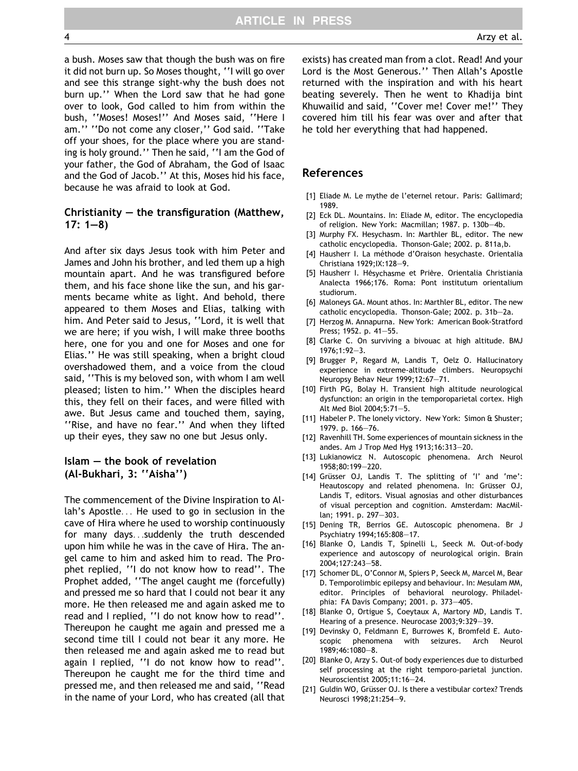<span id="page-3-0"></span>a bush. Moses saw that though the bush was on fire it did not burn up. So Moses thought, ''I will go over and see this strange sight-why the bush does not burn up.'' When the Lord saw that he had gone over to look, God called to him from within the bush, ''Moses! Moses!'' And Moses said, ''Here I am.'' ''Do not come any closer,'' God said. ''Take off your shoes, for the place where you are standing is holy ground.'' Then he said, ''I am the God of your father, the God of Abraham, the God of Isaac and the God of Jacob.'' At this, Moses hid his face, because he was afraid to look at God.

### Christianity – the transfiguration (Matthew, 17: 1–8)

And after six days Jesus took with him Peter and James and John his brother, and led them up a high mountain apart. And he was transfigured before them, and his face shone like the sun, and his garments became white as light. And behold, there appeared to them Moses and Elias, talking with him. And Peter said to Jesus, ''Lord, it is well that we are here; if you wish, I will make three booths here, one for you and one for Moses and one for Elias.'' He was still speaking, when a bright cloud overshadowed them, and a voice from the cloud said, ''This is my beloved son, with whom I am well pleased; listen to him.'' When the disciples heard this, they fell on their faces, and were filled with awe. But Jesus came and touched them, saying, ''Rise, and have no fear.'' And when they lifted up their eyes, they saw no one but Jesus only.

## Islam – the book of revelation (Al-Bukhari, 3: ''Aisha'')

The commencement of the Divine Inspiration to Allah's Apostle... He used to go in seclusion in the cave of Hira where he used to worship continuously for many days...suddenly the truth descended upon him while he was in the cave of Hira. The angel came to him and asked him to read. The Prophet replied, ''I do not know how to read''. The Prophet added, ''The angel caught me (forcefully) and pressed me so hard that I could not bear it any more. He then released me and again asked me to read and I replied, ''I do not know how to read''. Thereupon he caught me again and pressed me a second time till I could not bear it any more. He then released me and again asked me to read but again I replied, ''I do not know how to read''. Thereupon he caught me for the third time and pressed me, and then released me and said, ''Read in the name of your Lord, who has created (all that exists) has created man from a clot. Read! And your Lord is the Most Generous.'' Then Allah's Apostle returned with the inspiration and with his heart beating severely. Then he went to Khadija bint Khuwailid and said, ''Cover me! Cover me!'' They covered him till his fear was over and after that he told her everything that had happened.

#### References

- [1] Eliade M. Le mythe de l'eternel retour. Paris: Gallimard; 1989.
- [2] Eck DL. Mountains. In: Eliade M, editor. The encyclopedia of religion. New York: Macmillan; 1987. p. 130b–4b.
- [3] Murphy FX. Hesychasm. In: Marthler BL, editor. The new catholic encyclopedia. Thonson-Gale; 2002. p. 811a,b.
- [4] Hausherr I. La méthode d'Oraison hesychaste. Orientalia Christiana 1929;IX:128–9.
- [5] Hausherr I. Hésychasme et Prière. Orientalia Christiania Analecta 1966;176. Roma: Pont institutum orientalium studiorum.
- [6] Maloneys GA. Mount athos. In: Marthler BL, editor. The new catholic encyclopedia. Thonson-Gale; 2002. p. 31b–2a.
- [7] Herzog M. Annapurna. New York: American Book-Stratford Press; 1952. p. 41–55.
- [8] Clarke C. On surviving a bivouac at high altitude. BMJ 1976;1:92–3.
- [9] Brugger P, Regard M, Landis T, Oelz O. Hallucinatory experience in extreme-altitude climbers. Neuropsychi Neuropsy Behav Neur 1999;12:67–71.
- [10] Firth PG, Bolay H. Transient high altitude neurological dysfunction: an origin in the temporoparietal cortex. High Alt Med Biol 2004;5:71–5.
- [11] Habeler P. The lonely victory. New York: Simon & Shuster; 1979. p. 166–76.
- [12] Ravenhill TH. Some experiences of mountain sickness in the andes. Am J Trop Med Hyg 1913;16:313–20.
- [13] Lukianowicz N. Autoscopic phenomena. Arch Neurol 1958;80:199–220.
- [14] Grüsser OJ, Landis T. The splitting of 'I' and 'me': Heautoscopy and related phenomena. In: Grüsser OJ, Landis T, editors. Visual agnosias and other disturbances of visual perception and cognition. Amsterdam: MacMillan; 1991. p. 297–303.
- [15] Dening TR, Berrios GE. Autoscopic phenomena. Br J Psychiatry 1994;165:808–17.
- [16] Blanke O, Landis T, Spinelli L, Seeck M. Out-of-body experience and autoscopy of neurological origin. Brain 2004;127:243–58.
- [17] Schomer DL, O'Connor M, Spiers P, Seeck M, Marcel M, Bear D. Temporolimbic epilepsy and behaviour. In: Mesulam MM, editor. Principles of behavioral neurology. Philadelphia: FA Davis Company; 2001. p. 373–405.
- [18] Blanke O, Ortigue S, Coeytaux A, Martory MD, Landis T. Hearing of a presence. Neurocase 2003;9:329–39.
- [19] Devinsky O, Feldmann E, Burrowes K, Bromfeld E. Autoscopic phenomena with seizures. Arch Neurol 1989;46:1080–8.
- [20] Blanke O, Arzy S. Out-of body experiences due to disturbed self processing at the right temporo-parietal junction. Neuroscientist 2005;11:16–24.
- [21] Guldin WO, Grüsser OJ. Is there a vestibular cortex? Trends Neurosci 1998;21:254–9.